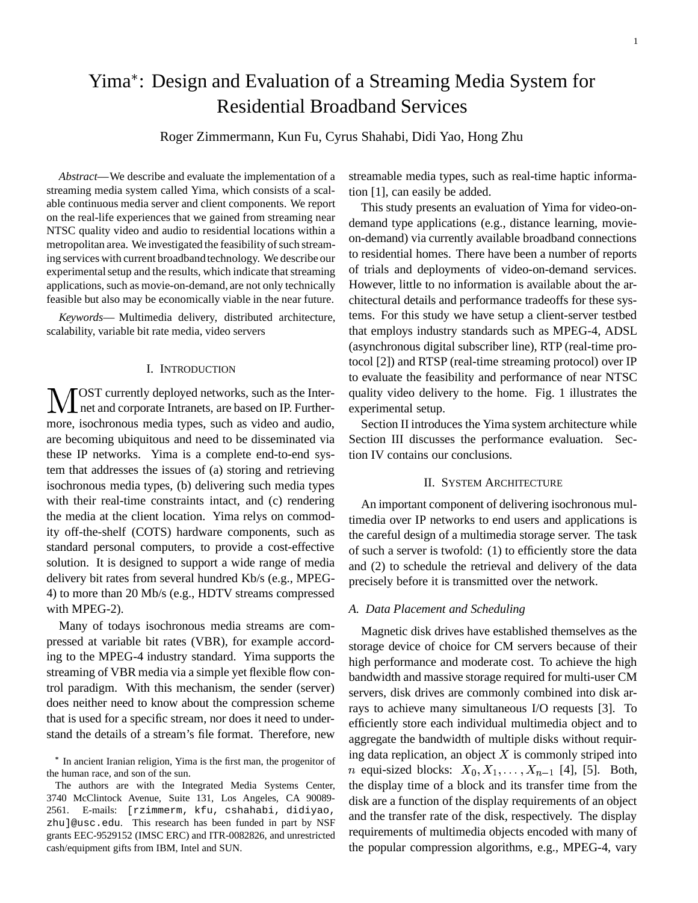# Yima\*: Design and Evaluation of a Streaming Media System for Residential Broadband Services

Roger Zimmermann, Kun Fu, Cyrus Shahabi, Didi Yao, Hong Zhu

*Abstract*—We describe and evaluate the implementation of a streaming media system called Yima, which consists of a scalable continuous media server and client components. We report on the real-life experiences that we gained from streaming near NTSC quality video and audio to residential locations within a metropolitan area. We investigated the feasibility of such streaming services with current broadbandtechnology. We describe our experimental setup and the results, which indicate that streaming applications, such as movie-on-demand, are not only technically feasible but also may be economically viable in the near future.

*Keywords*— Multimedia delivery, distributed architecture, scalability, variable bit rate media, video servers

#### I. INTRODUCTION

**TOST** currently deployed networks, such as the Inter-**L** net and corporate Intranets, are based on IP. Furthermore, isochronous media types, such as video and audio, are becoming ubiquitous and need to be disseminated via these IP networks. Yima is a complete end-to-end system that addresses the issues of (a) storing and retrieving isochronous media types, (b) delivering such media types with their real-time constraints intact, and (c) rendering the media at the client location. Yima relys on commodity off-the-shelf (COTS) hardware components, such as standard personal computers, to provide a cost-effective solution. It is designed to support a wide range of media delivery bit rates from several hundred Kb/s (e.g., MPEG-4) to more than 20 Mb/s (e.g., HDTV streams compressed with MPEG-2).

Many of todays isochronous media streams are compressed at variable bit rates (VBR), for example according to the MPEG-4 industry standard. Yima supports the streaming of VBR media via a simple yet flexible flow control paradigm. With this mechanism, the sender (server) does neither need to know about the compression scheme that is used for a specific stream, nor does it need to understand the details of a stream's file format. Therefore, new streamable media types, such as real-time haptic information [1], can easily be added.

This study presents an evaluation of Yima for video-ondemand type applications (e.g., distance learning, movieon-demand) via currently available broadband connections to residential homes. There have been a number of reports of trials and deployments of video-on-demand services. However, little to no information is available about the architectural details and performance tradeoffs for these systems. For this study we have setup a client-server testbed that employs industry standards such as MPEG-4, ADSL (asynchronous digital subscriber line), RTP (real-time protocol [2]) and RTSP (real-time streaming protocol) over IP to evaluate the feasibility and performance of near NTSC quality video delivery to the home. Fig. 1 illustrates the experimental setup.

Section II introduces the Yima system architecture while Section III discusses the performance evaluation. Section IV contains our conclusions.

## II. SYSTEM ARCHITECTURE

An important component of delivering isochronous multimedia over IP networks to end users and applications is the careful design of a multimedia storage server. The task of such a server is twofold: (1) to efficiently store the data and (2) to schedule the retrieval and delivery of the data precisely before it is transmitted over the network.

## *A. Data Placement and Scheduling*

Magnetic disk drives have established themselves as the storage device of choice for CM servers because of their high performance and moderate cost. To achieve the high bandwidth and massive storage required for multi-user CM servers, disk drives are commonly combined into disk arrays to achieve many simultaneous I/O requests [3]. To efficiently store each individual multimedia object and to aggregate the bandwidth of multiple disks without requiring data replication, an object  $X$  is commonly striped into *n* equi-sized blocks:  $X_0, X_1, \ldots, X_{n-1}$  [4], [5]. Both, the display time of a block and its transfer time from the disk are a function of the display requirements of an object and the transfer rate of the disk, respectively. The display requirements of multimedia objects encoded with many of the popular compression algorithms, e.g., MPEG-4, vary

<sup>\*</sup> In ancient Iranian religion, Yima is the first man, the progenitor of the human race, and son of the sun.

The authors are with the Integrated Media Systems Center, 3740 McClintock Avenue, Suite 131, Los Angeles, CA 90089- 2561. E-mails: [rzimmerm, kfu, cshahabi, didiyao, zhu]@usc.edu. This research has been funded in part by NSF grants EEC-9529152 (IMSC ERC) and ITR-0082826, and unrestricted cash/equipment gifts from IBM, Intel and SUN.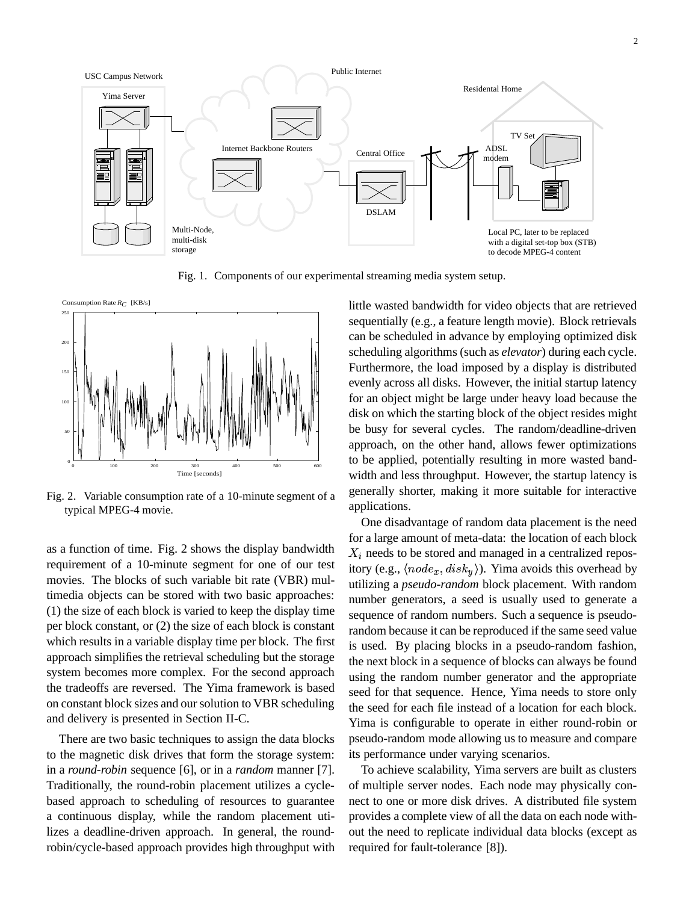

Fig. 1. Components of our experimental streaming media system setup.



Fig. 2. Variable consumption rate of a 10-minute segment of a typical MPEG-4 movie.

as a function of time. Fig. 2 shows the display bandwidth requirement of a 10-minute segment for one of our test movies. The blocks of such variable bit rate (VBR) multimedia objects can be stored with two basic approaches: (1) the size of each block is varied to keep the display time per block constant, or (2) the size of each block is constant which results in a variable display time per block. The first approach simplifies the retrieval scheduling but the storage system becomes more complex. For the second approach the tradeoffs are reversed. The Yima framework is based on constant block sizes and our solution to VBR scheduling and delivery is presented in Section II-C.

There are two basic techniques to assign the data blocks to the magnetic disk drives that form the storage system: in a *round-robin* sequence [6], or in a *random* manner [7]. Traditionally, the round-robin placement utilizes a cyclebased approach to scheduling of resources to guarantee a continuous display, while the random placement utilizes a deadline-driven approach. In general, the roundrobin/cycle-based approach provides high throughput with little wasted bandwidth for video objects that are retrieved sequentially (e.g., a feature length movie). Block retrievals can be scheduled in advance by employing optimized disk scheduling algorithms (such as *elevator*) during each cycle. Furthermore, the load imposed by a display is distributed evenly across all disks. However, the initial startup latency for an object might be large under heavy load because the disk on which the starting block of the object resides might be busy for several cycles. The random/deadline-driven approach, on the other hand, allows fewer optimizations to be applied, potentially resulting in more wasted bandwidth and less throughput. However, the startup latency is generally shorter, making it more suitable for interactive applications.

One disadvantage of random data placement is the need for a large amount of meta-data: the location of each block  $X_i$  needs to be stored and managed in a centralized repository (e.g.,  $\langle node_x, disk_y \rangle$ ). Yima avoids this overhead by utilizing a *pseudo-random* block placement. With random number generators, a seed is usually used to generate a sequence of random numbers. Such a sequence is pseudorandom because it can be reproduced if the same seed value is used. By placing blocks in a pseudo-random fashion, the next block in a sequence of blocks can always be found using the random number generator and the appropriate seed for that sequence. Hence, Yima needs to store only the seed for each file instead of a location for each block. Yima is configurable to operate in either round-robin or pseudo-random mode allowing us to measure and compare its performance under varying scenarios.

To achieve scalability, Yima servers are built as clusters of multiple server nodes. Each node may physically connect to one or more disk drives. A distributed file system provides a complete view of all the data on each node without the need to replicate individual data blocks (except as required for fault-tolerance [8]).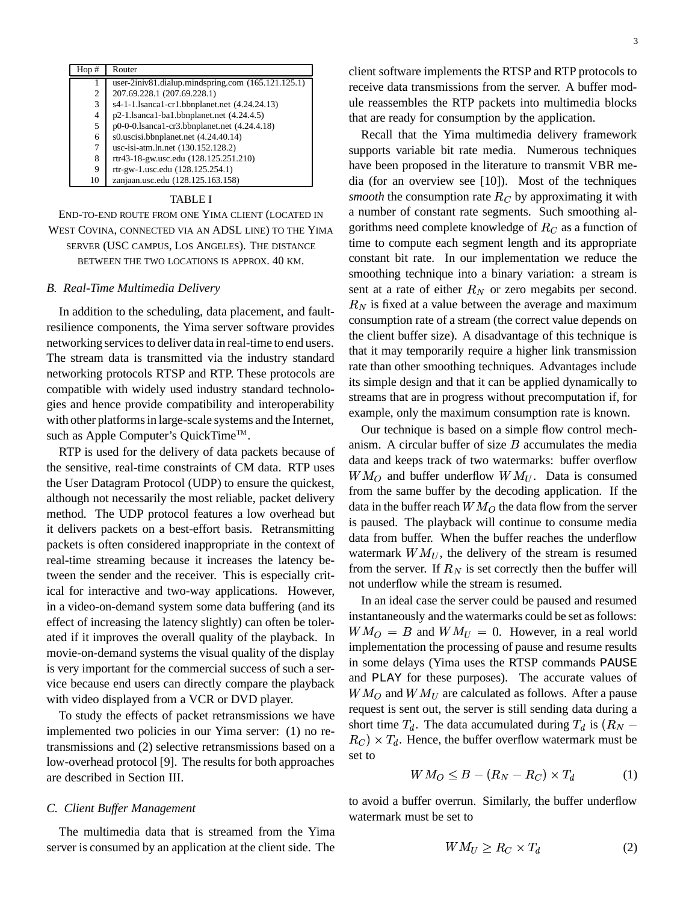| $6 \mid$ s0.uscisi.bbnplanet.net $(4.24.40.14)$ |  |  |
|-------------------------------------------------|--|--|
|-------------------------------------------------|--|--|

7 usc-isi-atm.ln.net (130.152.128.2)  $\begin{array}{c|c} 8 & \text{rtr43-18-gw.usc.edu} & (128.125.251.210) \\ 9 & \text{rtr-sw-1 use edu} & (128.125.251.210) \end{array}$ 

9 rtr-gw-1.usc.edu (128.125.254.1)

10 zanjaan.usc.edu (128.125.163.158)

## TABLE I

END-TO-END ROUTE FROM ONE YIMA CLIENT (LOCATED IN WEST COVINA, CONNECTED VIA AN ADSL LINE) TO THE YIMA SERVER (USC CAMPUS, LOS ANGELES). THE DISTANCE BETWEEN THE TWO LOCATIONS IS APPROX. 40 KM.

## *B. Real-Time Multimedia Delivery*

Hop # Router

In addition to the scheduling, data placement, and faultresilience components, the Yima server software provides networking services to deliver data in real-time to end users. The stream data is transmitted via the industry standard networking protocols RTSP and RTP. These protocols are compatible with widely used industry standard technologies and hence provide compatibility and interoperability with other platforms in large-scale systems and the Internet, such as Apple Computer's QuickTime™.

RTP is used for the delivery of data packets because of the sensitive, real-time constraints of CM data. RTP uses the User Datagram Protocol (UDP) to ensure the quickest, although not necessarily the most reliable, packet delivery method. The UDP protocol features a low overhead but it delivers packets on a best-effort basis. Retransmitting packets is often considered inappropriate in the context of real-time streaming because it increases the latency between the sender and the receiver. This is especially critical for interactive and two-way applications. However, in a video-on-demand system some data buffering (and its effect of increasing the latency slightly) can often be tolerated if it improves the overall quality of the playback. In movie-on-demand systems the visual quality of the display is very important for the commercial success of such a service because end users can directly compare the playback with video displayed from a VCR or DVD player.

To study the effects of packet retransmissions we have implemented two policies in our Yima server: (1) no retransmissions and (2) selective retransmissions based on a low-overhead protocol [9]. The results for both approaches are described in Section III.

# *C. Client Buffer Management*

The multimedia data that is streamed from the Yima server is consumed by an application at the client side. The client software implements the RTSP and RTP protocols to receive data transmissions from the server. A buffer module reassembles the RTP packets into multimedia blocks that are ready for consumption by the application.

Recall that the Yima multimedia delivery framework supports variable bit rate media. Numerous techniques have been proposed in the literature to transmit VBR media (for an overview see [10]). Most of the techniques *smooth* the consumption rate  $R_C$  by approximating it with a number of constant rate segments. Such smoothing algorithms need complete knowledge of  $R_C$  as a function of time to compute each segment length and its appropriate constant bit rate. In our implementation we reduce the smoothing technique into a binary variation: a stream is sent at a rate of either  $R_N$  or zero megabits per second.  $R_N$  is fixed at a value between the average and maximum consumption rate of a stream (the correct value depends on the client buffer size). A disadvantage of this technique is that it may temporarily require a higher link transmission rate than other smoothing techniques. Advantages include its simple design and that it can be applied dynamically to streams that are in progress without precomputation if, for example, only the maximum consumption rate is known.

Our technique is based on a simple flow control mechanism. A circular buffer of size  $B$  accumulates the media data and keeps track of two watermarks: buffer overflow  $WM_O$  and buffer underflow  $WM_U$ . Data is consumed from the same buffer by the decoding application. If the data in the buffer reach  $WM_O$  the data flow from the server is paused. The playback will continue to consume media data from buffer. When the buffer reaches the underflow watermark  $WM_U$ , the delivery of the stream is resumed from the server. If  $R_N$  is set correctly then the buffer will not underflow while the stream is resumed.

In an ideal case the server could be paused and resumed instantaneously and the watermarks could be set as follows:  $WM_O = B$  and  $WM_U = 0$ . However, in a real world implementation the processing of pause and resume results in some delays (Yima uses the RTSP commands PAUSE and PLAY for these purposes). The accurate values of  $WM_O$  and  $WM_U$  are calculated as follows. After a pause request is sent out, the server is still sending data during a short time  $T_d$ . The data accumulated during  $T_d$  is  $(R_N (R_C) \times T_d$ . Hence, the buffer overflow watermark must be set to

$$
WM_O \leq B - (R_N - R_C) \times T_d \tag{1}
$$

to avoid a buffer overrun. Similarly, the buffer underflow watermark must be set to

$$
WM_U \ge R_C \times T_d \tag{2}
$$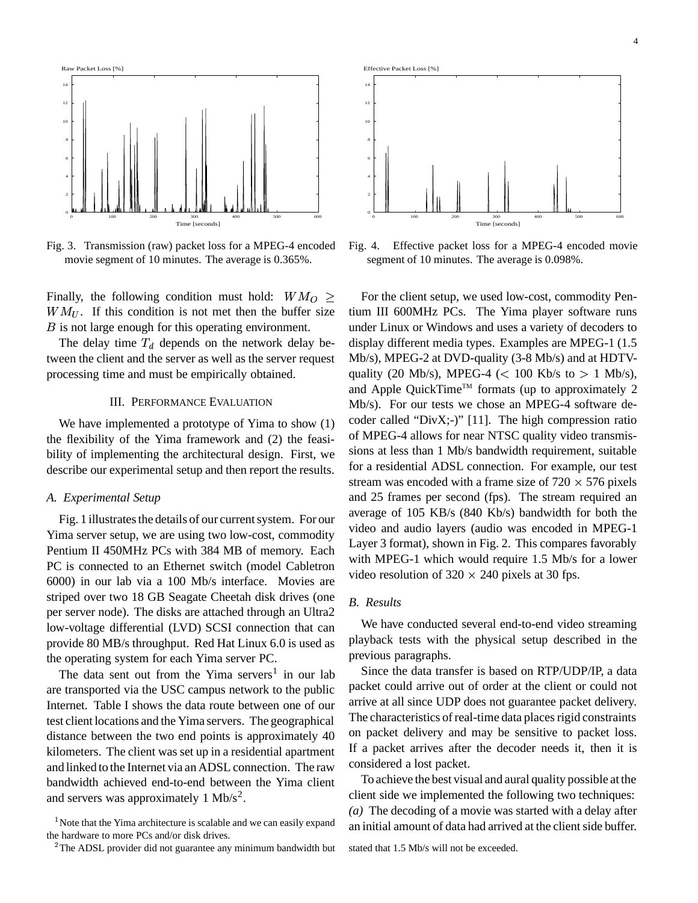



Fig. 3. Transmission (raw) packet loss for a MPEG-4 encoded movie segment of 10 minutes. The average is 0.365%.

Finally, the following condition must hold:  $WM_O \geq$  $WM_U$ . If this condition is not met then the buffer size  $B$  is not large enough for this operating environment.

The delay time  $T_d$  depends on the network delay between the client and the server as well as the server request processing time and must be empirically obtained.

## III. PERFORMANCE EVALUATION

We have implemented a prototype of Yima to show (1) the flexibility of the Yima framework and (2) the feasibility of implementing the architectural design. First, we describe our experimental setup and then report the results.

#### *A. Experimental Setup*

Fig. 1 illustrates the details of our current system. For our Yima server setup, we are using two low-cost, commodity Pentium II 450MHz PCs with 384 MB of memory. Each PC is connected to an Ethernet switch (model Cabletron 6000) in our lab via a 100 Mb/s interface. Movies are striped over two 18 GB Seagate Cheetah disk drives (one per server node). The disks are attached through an Ultra2 low-voltage differential (LVD) SCSI connection that can provide 80 MB/s throughput. Red Hat Linux 6.0 is used as the operating system for each Yima server PC.

The data sent out from the Yima servers<sup>1</sup> in our lab are transported via the USC campus network to the public Internet. Table I shows the data route between one of our test client locations and the Yima servers. The geographical distance between the two end points is approximately 40 kilometers. The client was set up in a residential apartment and linked to the Internet via an ADSL connection. The raw bandwidth achieved end-to-end between the Yima client and servers was approximately 1  $Mb/s<sup>2</sup>$ .



Fig. 4. Effective packet loss for a MPEG-4 encoded movie segment of 10 minutes. The average is 0.098%.

For the client setup, we used low-cost, commodity Pentium III 600MHz PCs. The Yima player software runs under Linux or Windows and uses a variety of decoders to display different media types. Examples are MPEG-1 (1.5 Mb/s), MPEG-2 at DVD-quality (3-8 Mb/s) and at HDTVquality (20 Mb/s), MPEG-4 (< 100 Kb/s to > 1 Mb/s), and Apple QuickTime<sup>™</sup> formats (up to approximately 2 Mb/s). For our tests we chose an MPEG-4 software decoder called "DivX;-)" [11]. The high compression ratio of MPEG-4 allows for near NTSC quality video transmissions at less than 1 Mb/s bandwidth requirement, suitable for a residential ADSL connection. For example, our test stream was encoded with a frame size of  $720 \times 576$  pixels and 25 frames per second (fps). The stream required an average of 105 KB/s (840 Kb/s) bandwidth for both the video and audio layers (audio was encoded in MPEG-1 Layer 3 format), shown in Fig. 2. This compares favorably with MPEG-1 which would require 1.5 Mb/s for a lower video resolution of  $320 \times 240$  pixels at 30 fps.

#### *B. Results*

We have conducted several end-to-end video streaming playback tests with the physical setup described in the previous paragraphs.

Since the data transfer is based on RTP/UDP/IP, a data packet could arrive out of order at the client or could not arrive at all since UDP does not guarantee packet delivery. The characteristics of real-time data places rigid constraints on packet delivery and may be sensitive to packet loss. If a packet arrives after the decoder needs it, then it is considered a lost packet.

To achieve the best visual and aural quality possible at the client side we implemented the following two techniques: *(a)* The decoding of a movie was started with a delay after an initial amount of data had arrived at the client side buffer.

stated that 1.5 Mb/s will not be exceeded.

<sup>&</sup>lt;sup>1</sup>Note that the Yima architecture is scalable and we can easily expand the hardware to more PCs and/or disk drives.

 $2^2$ The ADSL provider did not guarantee any minimum bandwidth but